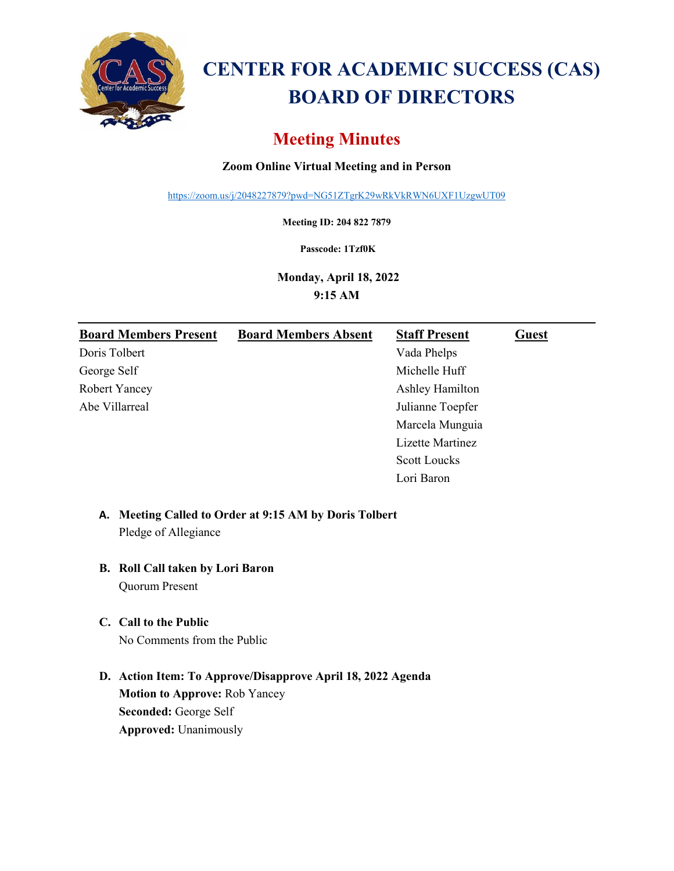

# **CENTER FOR ACADEMIC SUCCESS (CAS) BOARD OF DIRECTORS**

# **Meeting Minutes**

### **Zoom Online Virtual Meeting and in Person**

<https://zoom.us/j/2048227879?pwd=NG51ZTgrK29wRkVkRWN6UXF1UzgwUT09>

**Meeting ID: 204 822 7879**

**Passcode: 1Tzf0K**

**Monday, April 18, 2022 9:15 AM**

| <b>Board Members Present</b> | <b>Board Members Absent</b> | <b>Staff Present</b> | <b>Guest</b> |
|------------------------------|-----------------------------|----------------------|--------------|
| Doris Tolbert                |                             | Vada Phelps          |              |
| George Self                  |                             | Michelle Huff        |              |
| Robert Yancey                |                             | Ashley Hamilton      |              |
| Abe Villarreal               |                             | Julianne Toepfer     |              |
|                              |                             | Marcela Munguia      |              |
|                              |                             | Lizette Martinez     |              |
|                              |                             | <b>Scott Loucks</b>  |              |
|                              |                             | Lori Baron           |              |

# **A. Meeting Called to Order at 9:15 AM by Doris Tolbert** Pledge of Allegiance

# **B. Roll Call taken by Lori Baron**

Quorum Present

## **C. Call to the Public**

No Comments from the Public

**D. Action Item: To Approve/Disapprove April 18, 2022 Agenda Motion to Approve:** Rob Yancey **Seconded:** George Self **Approved:** Unanimously